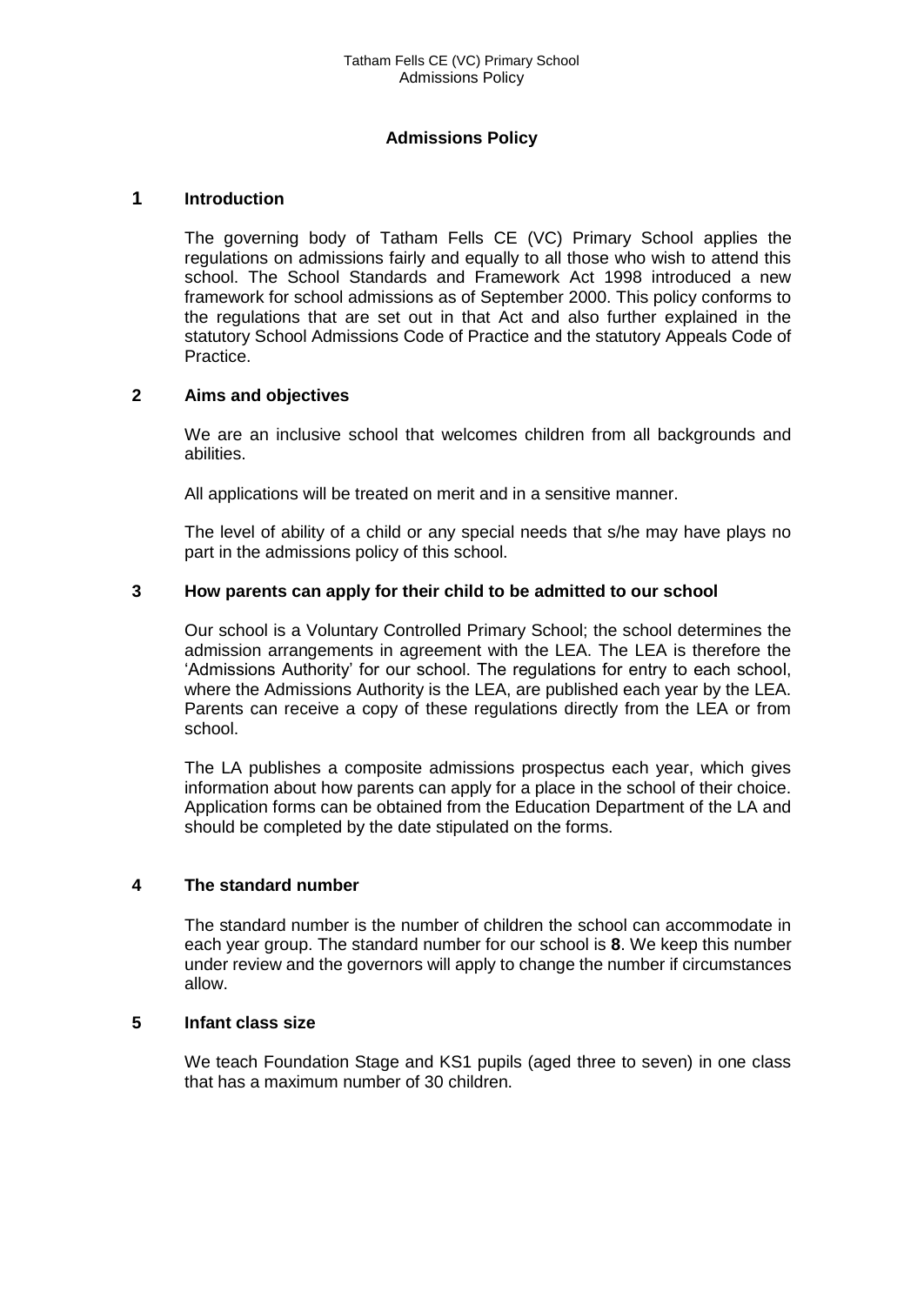# **Admissions Policy**

# **1 Introduction**

The governing body of Tatham Fells CE (VC) Primary School applies the regulations on admissions fairly and equally to all those who wish to attend this school. The School Standards and Framework Act 1998 introduced a new framework for school admissions as of September 2000. This policy conforms to the regulations that are set out in that Act and also further explained in the statutory School Admissions Code of Practice and the statutory Appeals Code of Practice.

# **2 Aims and objectives**

We are an inclusive school that welcomes children from all backgrounds and abilities.

All applications will be treated on merit and in a sensitive manner.

The level of ability of a child or any special needs that s/he may have plays no part in the admissions policy of this school.

# **3 How parents can apply for their child to be admitted to our school**

Our school is a Voluntary Controlled Primary School; the school determines the admission arrangements in agreement with the LEA. The LEA is therefore the 'Admissions Authority' for our school. The regulations for entry to each school, where the Admissions Authority is the LEA, are published each year by the LEA. Parents can receive a copy of these regulations directly from the LEA or from school.

The LA publishes a composite admissions prospectus each year, which gives information about how parents can apply for a place in the school of their choice. Application forms can be obtained from the Education Department of the LA and should be completed by the date stipulated on the forms.

#### **4 The standard number**

The standard number is the number of children the school can accommodate in each year group. The standard number for our school is **8**. We keep this number under review and the governors will apply to change the number if circumstances allow.

#### **5 Infant class size**

We teach Foundation Stage and KS1 pupils (aged three to seven) in one class that has a maximum number of 30 children.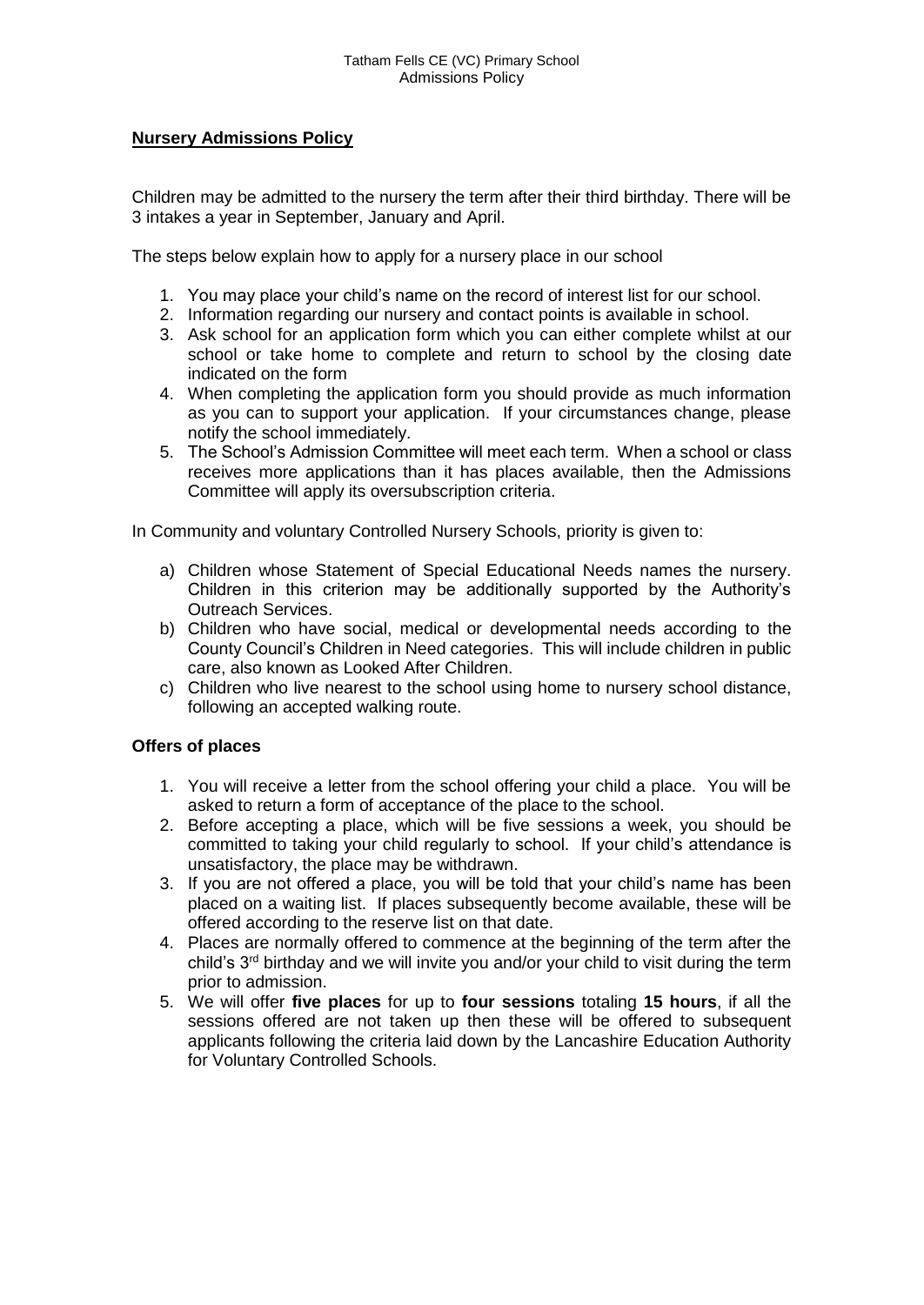# **Nursery Admissions Policy**

Children may be admitted to the nursery the term after their third birthday. There will be 3 intakes a year in September, January and April.

The steps below explain how to apply for a nursery place in our school

- 1. You may place your child's name on the record of interest list for our school.
- 2. Information regarding our nursery and contact points is available in school.
- 3. Ask school for an application form which you can either complete whilst at our school or take home to complete and return to school by the closing date indicated on the form
- 4. When completing the application form you should provide as much information as you can to support your application. If your circumstances change, please notify the school immediately.
- 5. The School's Admission Committee will meet each term. When a school or class receives more applications than it has places available, then the Admissions Committee will apply its oversubscription criteria.

In Community and voluntary Controlled Nursery Schools, priority is given to:

- a) Children whose Statement of Special Educational Needs names the nursery. Children in this criterion may be additionally supported by the Authority's Outreach Services.
- b) Children who have social, medical or developmental needs according to the County Council's Children in Need categories. This will include children in public care, also known as Looked After Children.
- c) Children who live nearest to the school using home to nursery school distance, following an accepted walking route.

# **Offers of places**

- 1. You will receive a letter from the school offering your child a place. You will be asked to return a form of acceptance of the place to the school.
- 2. Before accepting a place, which will be five sessions a week, you should be committed to taking your child regularly to school. If your child's attendance is unsatisfactory, the place may be withdrawn.
- 3. If you are not offered a place, you will be told that your child's name has been placed on a waiting list. If places subsequently become available, these will be offered according to the reserve list on that date.
- 4. Places are normally offered to commence at the beginning of the term after the child's  $3<sup>rd</sup>$  birthday and we will invite you and/or your child to visit during the term prior to admission.
- 5. We will offer **five places** for up to **four sessions** totaling **15 hours**, if all the sessions offered are not taken up then these will be offered to subsequent applicants following the criteria laid down by the Lancashire Education Authority for Voluntary Controlled Schools.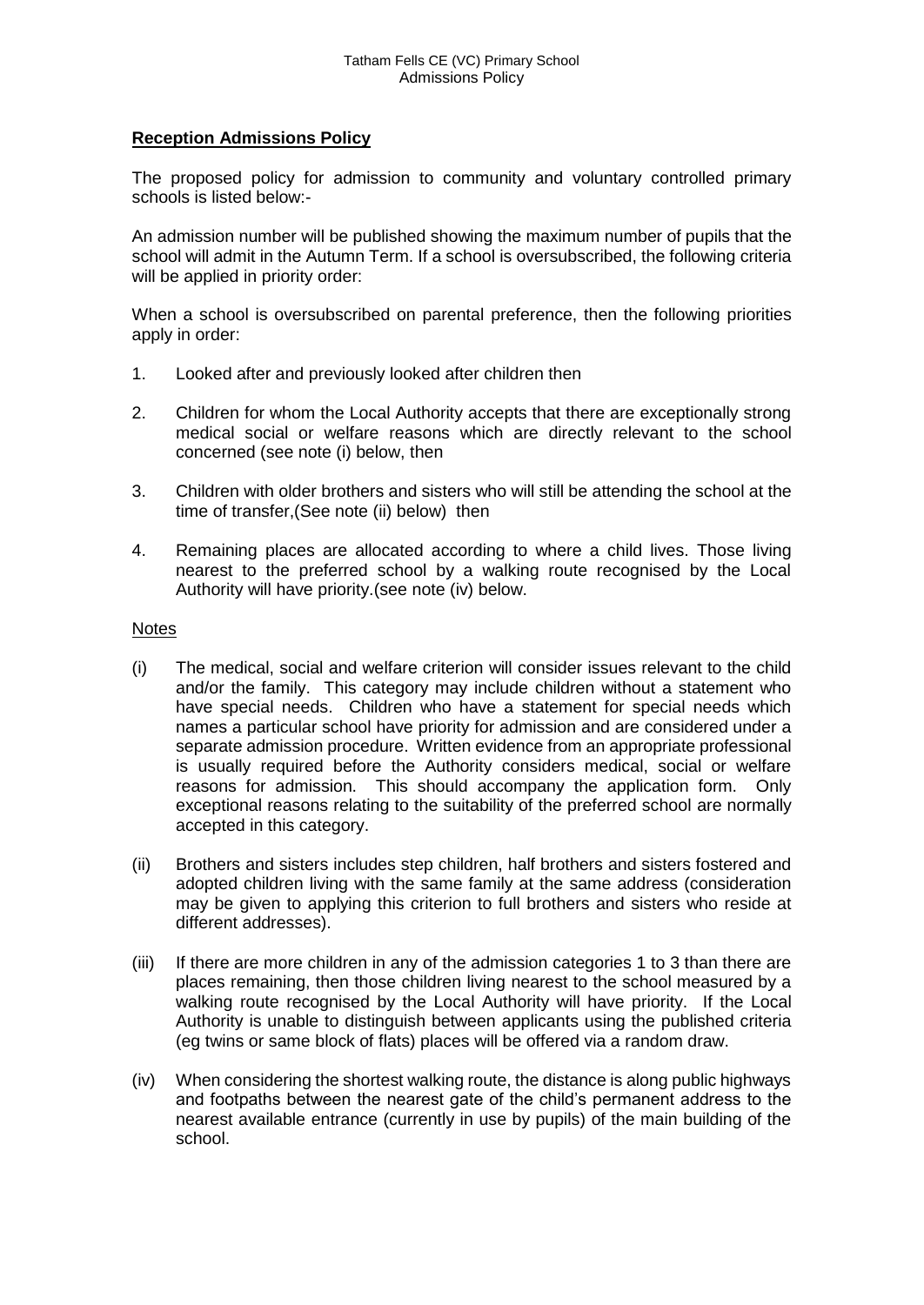# **Reception Admissions Policy**

The proposed policy for admission to community and voluntary controlled primary schools is listed below:-

An admission number will be published showing the maximum number of pupils that the school will admit in the Autumn Term. If a school is oversubscribed, the following criteria will be applied in priority order:

When a school is oversubscribed on parental preference, then the following priorities apply in order:

- 1. Looked after and previously looked after children then
- 2. Children for whom the Local Authority accepts that there are exceptionally strong medical social or welfare reasons which are directly relevant to the school concerned (see note (i) below, then
- 3. Children with older brothers and sisters who will still be attending the school at the time of transfer,(See note (ii) below) then
- 4. Remaining places are allocated according to where a child lives. Those living nearest to the preferred school by a walking route recognised by the Local Authority will have priority.(see note (iv) below.

#### **Notes**

- (i) The medical, social and welfare criterion will consider issues relevant to the child and/or the family. This category may include children without a statement who have special needs. Children who have a statement for special needs which names a particular school have priority for admission and are considered under a separate admission procedure. Written evidence from an appropriate professional is usually required before the Authority considers medical, social or welfare reasons for admission. This should accompany the application form. Only exceptional reasons relating to the suitability of the preferred school are normally accepted in this category.
- (ii) Brothers and sisters includes step children, half brothers and sisters fostered and adopted children living with the same family at the same address (consideration may be given to applying this criterion to full brothers and sisters who reside at different addresses).
- (iii) If there are more children in any of the admission categories 1 to 3 than there are places remaining, then those children living nearest to the school measured by a walking route recognised by the Local Authority will have priority. If the Local Authority is unable to distinguish between applicants using the published criteria (eg twins or same block of flats) places will be offered via a random draw.
- (iv) When considering the shortest walking route, the distance is along public highways and footpaths between the nearest gate of the child's permanent address to the nearest available entrance (currently in use by pupils) of the main building of the school.